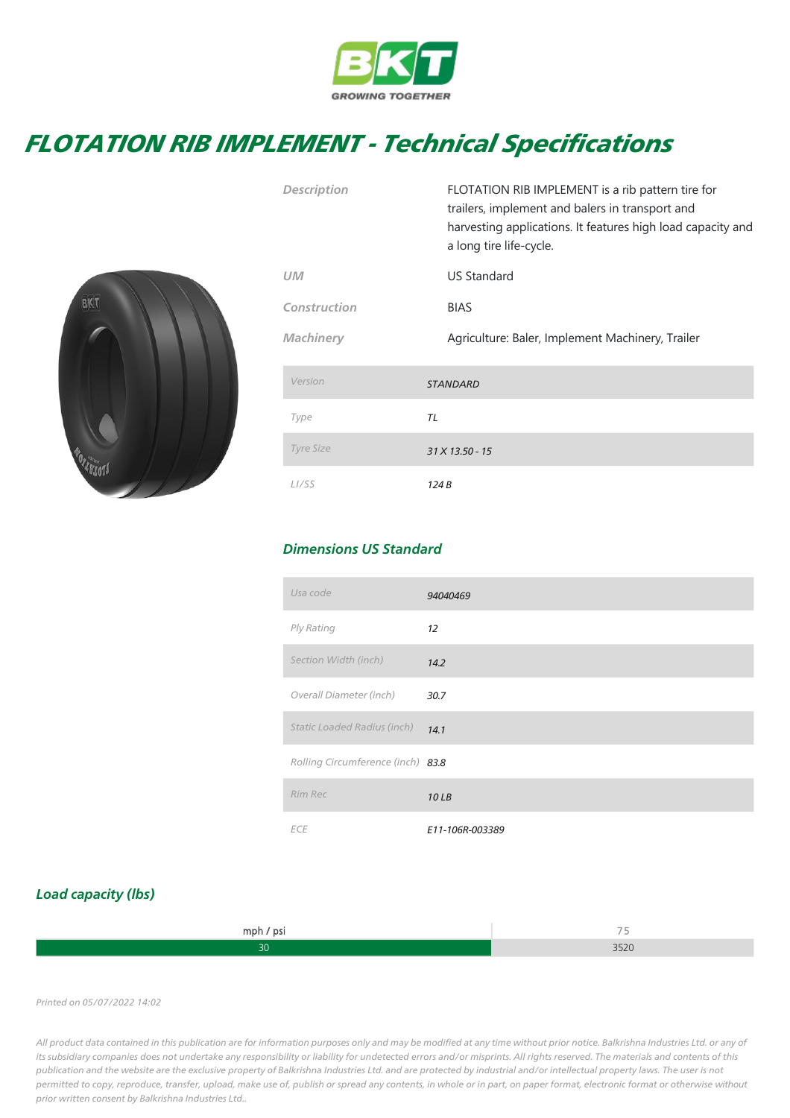

## FLOTATION RIB IMPLEMENT - Technical Specifications



| <b>Description</b> | FLOTATION RIB IMPLEMENT is a rib pattern tire for<br>trailers, implement and balers in transport and<br>harvesting applications. It features high load capacity and<br>a long tire life-cycle. |
|--------------------|------------------------------------------------------------------------------------------------------------------------------------------------------------------------------------------------|
| <b>UM</b>          | <b>US Standard</b>                                                                                                                                                                             |
| Construction       | <b>BIAS</b>                                                                                                                                                                                    |
| <b>Machinery</b>   | Agriculture: Baler, Implement Machinery, Trailer                                                                                                                                               |
| Version            | <b>STANDARD</b>                                                                                                                                                                                |
| Type               | TL                                                                                                                                                                                             |
| <b>Tyre Size</b>   | 31 X 13.50 - 15                                                                                                                                                                                |
| L <sub>I</sub> /SS | 124 B                                                                                                                                                                                          |

## Dimensions US Standard

| Usa code                          | 94040469        |
|-----------------------------------|-----------------|
| Ply Rating                        | 12 <sup>2</sup> |
| Section Width (inch)              | 14.2            |
| Overall Diameter (inch)           | 30.7            |
| Static Loaded Radius (inch)       | 14.1            |
| Rolling Circumference (inch) 83.8 |                 |
| <b>Rim Rec</b>                    | 10LB            |
| <b>ECE</b>                        | E11-106R-003389 |

## Load capacity (lbs)

| mph / psi | <b>CONTRACTOR</b> |
|-----------|-------------------|
|           | 2000<br>ouzu      |

Printed on 05/07/2022 14:02

All product data contained in this publication are for information purposes only and may be modified at any time without prior notice. Balkrishna Industries Ltd. or any of its subsidiary companies does not undertake any responsibility or liability for undetected errors and/or misprints. All rights reserved. The materials and contents of this publication and the website are the exclusive property of Balkrishna Industries Ltd. and are protected by industrial and/or intellectual property laws. The user is not permitted to copy, reproduce, transfer, upload, make use of, publish or spread any contents, in whole or in part, on paper format, electronic format or otherwise without prior written consent by Balkrishna Industries Ltd..